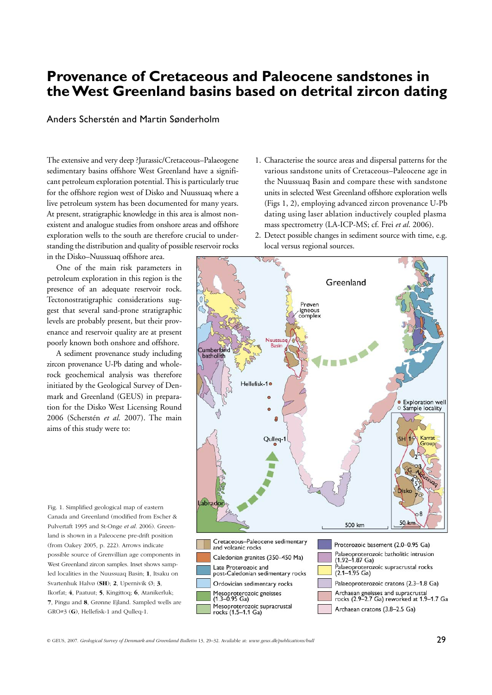# **Provenance of Cretaceous and Paleocene sandstones in the West Greenland basins based on detrital zircon dating**

#### Anders Scherstén and Martin Sønderholm

The extensive and very deep ?Jurassic/Cretaceous–Palaeogene sedimentary basins offshore West Greenland have a significant petroleum exploration potential. This is particularly true for the offshore region west of Disko and Nuussuaq where a live petroleum system has been documented for many years. At present, stratigraphic knowledge in this area is almost nonexistent and analogue studies from onshore areas and offshore exploration wells to the south are therefore crucial to understanding the distribution and quality of possible reservoir rocks

in the Disko–Nuussuaq offshore area. One of the main risk parameters in

petroleum exploration in this region is the presence of an adequate reservoir rock. Tectonostratigraphic considerations suggest that several sand-prone stratigraphic levels are probably present, but their provenance and reservoir quality are at present poorly known both onshore and offshore.

A sediment provenance study including zircon provenance U-Pb dating and wholerock geochemical analysis was therefore initiated by the Geological Survey of Denmark and Greenland (GEUS) in preparation for the Disko West Licensing Round 2006 (Scherstén *et al*. 2007). The main aims of this study were to:

Fig. 1. Simplified geological map of eastern Canada and Greenland (modified from Escher & Pulvertaft 1995 and St-Onge et al. 2006). Greenland is shown in a Paleocene pre-drift position (from Oakey 2005, p. 222). Arrows indicate possible source of Grenvillian age components in West Greenland zircon samples. Inset shows sampled localities in the Nuussuaq Basin; **1**, Itsaku on Svartenhuk Halvø (**SH**); **2**, Upernivik Ø; **3**, Ikorfat; **4**, Paatuut; **5**, Kingittoq; **6**, Atanikerluk; **7**, Pingu and **8**, Grønne Ejland. Sampled wells are GRO#3 (**G**), Hellefisk-1 and Qulleq-1.

- 1. Characterise the source areas and dispersal patterns for the various sandstone units of Cretaceous–Paleocene age in the Nuussuaq Basin and compare these with sandstone units in selected West Greenland offshore exploration wells (Figs 1, 2), employing advanced zircon provenance U-Pb dating using laser ablation inductively coupled plasma mass spectrometry (LA-ICP-MS; cf. Frei *et al*. 2006).
- 2. Detect possible changes in sediment source with time, e.g. local versus regional sources.

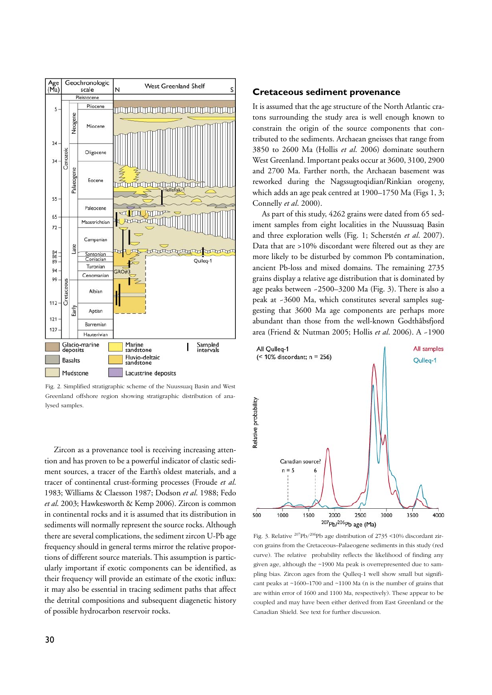

Fig. 2. Simplified stratigraphic scheme of the Nuussuaq Basin and West Greenland offshore region showing stratigraphic distribution of analysed samples.

Zircon as a provenance tool is receiving increasing attention and has proven to be a powerful indicator of clastic sedi ment sources, a tracer of the Earth's oldest materials, and a tracer of continental crust-forming processes (Froude *et al*. 1983; Williams & Claesson 1987; Dodson *et al*. 1988; Fedo *et al*. 2003; Hawkesworth & Kemp 2006). Zircon is common in continental rocks and it is assumed that its distribution in sediments will normally represent the source rocks. Although there are several complications, the sediment zircon U-Pb age frequency should in general terms mirror the relative proportions of different source materials. This assumption is particularly important if exotic components can be identified, as their frequency will provide an estimate of the exotic influx: it may also be essential in tracing sediment paths that affect the detrital compositions and subsequent diagenetic history of possible hydrocarbon reservoir rocks.

#### **Cretaceous sediment provenance**

It is assumed that the age structure of the North Atlantic cratons surrounding the study area is well enough known to constrain the origin of the source components that contributed to the sediments. Archaean gneisses that range from 3850 to 2600 Ma (Hollis *et al*. 2006) dominate southern West Greenland. Important peaks occur at 3600, 3100, 2900 and 2700 Ma. Farther north, the Archaean basement was reworked during the Nagssugtoqidian/Rinkian orogeny, which adds an age peak centred at 1900–1750 Ma (Figs 1, 3; Connelly *et al*. 2000).

As part of this study, 4262 grains were dated from 65 sediment samples from eight localities in the Nuussuaq Basin and three exploration wells (Fig. 1; Scherstén *et al*. 2007). Data that are >10% discordant were filtered out as they are more likely to be disturbed by common Pb contamination, ancient Pb-loss and mixed domains. The remaining 2735 grains display a relative age distribution that is dominated by age peaks between ~2500–3200 Ma (Fig. 3). There is also a peak at ~3600 Ma, which constitutes several samples suggesting that 3600 Ma age components are perhaps more abundant than those from the well-known Godthåbsfjord area (Friend & Nutman 2005; Hollis *et al*. 2006). A ~1900



Fig. 3. Relative 207Pb/206Pb age distribution of 2735 <10% discordant zircon grains from the Cretaceous–Palaeogene sediments in this study (red curve). The relative probability reflects the likelihood of finding any given age, although the ~1900 Ma peak is overrepresented due to sampling bias. Zircon ages from the Qulleq-1 well show small but significant peaks at ~1600–1700 and ~1100 Ma (n is the number of grains that are within error of 1600 and 1100 Ma, respectively). These appear to be coupled and may have been either derived from East Greenland or the Canadian Shield. See text for further discussion.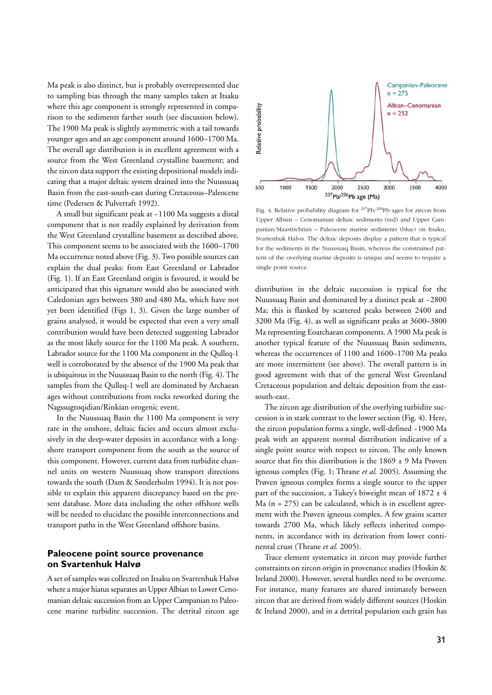Ma peak is also distinct, but is probably overrepresented due to sampling bias through the many samples taken at Itsaku where this age component is strongly represented in comparison to the sediments farther south (see discussion below). The 1900 Ma peak is slightly asymmetric with a tail towards younger ages and an age component around 1600–1700 Ma. The overall age distribution is in excellent agreement with a source from the West Greenland crystalline basement; and the zircon data support the existing depositional models indicating that a major deltaic system drained into the Nuussuaq Basin from the east-south-east during Cretaceous–Paleocene time (Pedersen & Pulvertaft 1992).

A small but significant peak at ~1100 Ma suggests a distal component that is not readily explained by derivation from the West Greenland crystalline basement as described above. This component seems to be associated with the 1600–1700 Ma occurrence noted above (Fig. 3). Two possible sources can explain the dual peaks: from East Greenland or Labrador (Fig. 1). If an East Greenland origin is favoured, it would be anticipated that this signature would also be associated with Caledonian ages between 380 and 480 Ma, which have not yet been identified (Figs 1, 3). Given the large number of grains analysed, it would be expected that even a very small contribution would have been detected suggesting Labrador as the most likely source for the 1100 Ma peak. A southern, Labrador source for the 1100 Ma component in the Qulleq-1 well is corroborated by the absence of the 1900 Ma peak that is ubiquitous in the Nuussuaq Basin to the north (Fig. 4). The samples from the Qulleq-1 well are dominated by Archaean ages without contributions from rocks reworked during the Nagssugtoqidian/Rinkian orogenic event.

In the Nuussuaq Basin the 1100 Ma component is very rare in the onshore, deltaic facies and occurs almost exclusively in the deep-water deposits in accordance with a longshore transport component from the south as the source of this component. However, current data from turbidite channel units on western Nuussuaq show transport directions towards the south (Dam & Sønderholm 1994). It is not possible to explain this apparent discrepancy based on the present database. More data including the other offshore wells will be needed to elucidate the possible interconnections and transport paths in the West Greenland offshore basins.

## **Paleocene point source provenance on Svartenhuk Halvø**

A set of samples was collected on Itsaku on Svartenhuk Halvø where a major hiatus separates an Upper Albian to Lower Cenomanian deltaic succession from an Upper Campanian to Paleocene marine turbidite succession. The detrital zircon age



Fig. 4. Relative probability diagram for <sup>207</sup>Pb/<sup>206</sup>Pb ages for zircon from Upper Albian – Cenomanian deltaic sediments (red) and Upper Cam panian/Maastrichtian – Paleocene marine sediments (blue) on Itsaku, Svartenhuk Halvø. The deltaic deposits display a pattern that is typical for the sediments in the Nuussuaq Basin, whereas the constrained pattern of the overlying marine deposits is unique and seems to require a single point source.

distribution in the deltaic succession is typical for the Nuussuaq Basin and dominated by a distinct peak at ~2800 Ma; this is flanked by scattered peaks between 2400 and 3200 Ma (Fig. 4), as well as significant peaks at 3600–3800 Ma representing Eoarchaean components. A 1900 Ma peak is another typical feature of the Nuussuaq Basin sediments, whereas the occurrences of 1100 and 1600–1700 Ma peaks are more intermittent (see above). The overall pattern is in good agreement with that of the general West Greenland Cretaceous population and deltaic deposition from the eastsouth-east.

The zircon age distribution of the overlying turbidite succession is in stark contrast to the lower section (Fig. 4). Here, the zircon population forms a single, well-defined ~1900 Ma peak with an apparent normal distribution indicative of a single point source with respect to zircon. The only known source that fits this distribution is the  $1869 \pm 9$  Ma Prøven igneous complex (Fig. 1; Thrane *et al.* 2005). Assuming the Prøven igneous complex forms a single source to the upper part of the succession, a Tukey's biweight mean of  $1872 \pm 4$  $Ma$  ( $n = 275$ ) can be calculated, which is in excellent agreement with the Prøven igneous complex. A few grains scatter towards 2700 Ma, which likely reflects inherited components, in accordance with its derivation from lower continental crust (Thrane *et al.* 2005).

Trace element systematics in zircon may provide further constraints on zircon origin in provenance studies (Hoskin & Ireland 2000). However, several hurdles need to be overcome. For instance, many features are shared intimately between zircon that are derived from widely different sources (Hoskin & Ireland 2000), and in a detrital population each grain has